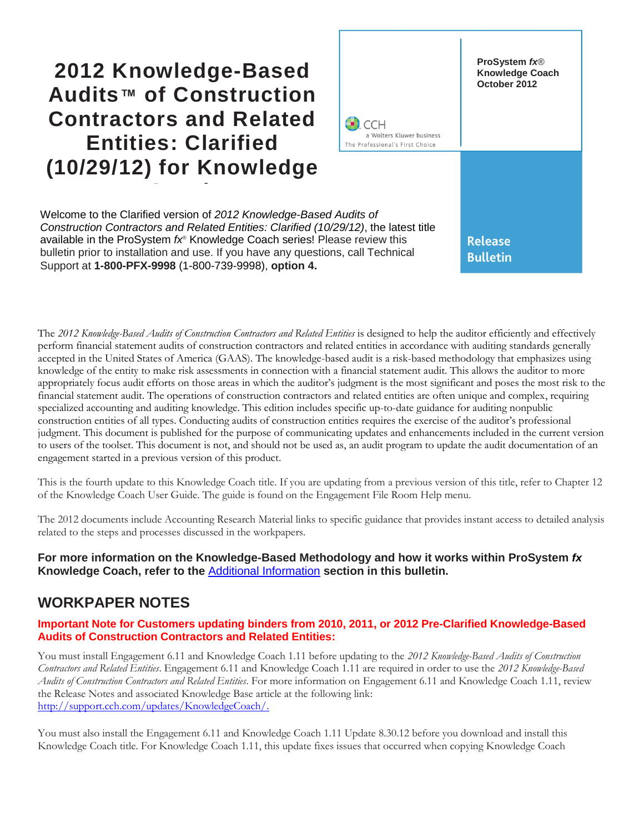## **2012 Knowledge-Based Audits™ of Construction Contractors and Related Entities: Clarified (10/29/12) for Knowledge**

**Coach**



Welcome to the Clarified version of *2012 Knowledge-Based Audits of Construction Contractors and Related Entities: Clarified (10/29/12)*, the latest title available in the ProSystem *fx*® Knowledge Coach series! Please review this bulletin prior to installation and use. If you have any questions, call Technical Support at **1-800-PFX-9998** (1-800-739-9998), **option 4.**

The 2012 Knowledge-Based Audits of Construction Contractors and Related Entities is designed to help the auditor efficiently and effectively perform financial statement audits of construction contractors and related entities in accordance with auditing standards generally accepted in the United States of America (GAAS). The knowledge-based audit is a risk-based methodology that emphasizes using knowledge of the entity to make risk assessments in connection with a financial statement audit. This allows the auditor to more appropriately focus audit efforts on those areas in which the auditor's judgment is the most significant and poses the most risk to the financial statement audit. The operations of construction contractors and related entities are often unique and complex, requiring specialized accounting and auditing knowledge. This edition includes specific up-to-date guidance for auditing nonpublic construction entities of all types. Conducting audits of construction entities requires the exercise of the auditor's professional judgment. This document is published for the purpose of communicating updates and enhancements included in the current version to users of the toolset. This document is not, and should not be used as, an audit program to update the audit documentation of an engagement started in a previous version of this product.

This is the fourth update to this Knowledge Coach title. If you are updating from a previous version of this title, refer to Chapter 12 of the Knowledge Coach User Guide. The guide is found on the Engagement File Room Help menu.

The 2012 documents include Accounting Research Material links to specific guidance that provides instant access to detailed analysis related to the steps and processes discussed in the workpapers.

#### **For more information on the Knowledge-Based Methodology and how it works within ProSystem** *fx* **Knowledge Coach, refer to the** [Additional Information](#page-2-0) **section in this bulletin.**

### **WORKPAPER NOTES**

#### **Important Note for Customers updating binders from 2010, 2011, or 2012 Pre-Clarified Knowledge-Based Audits of Construction Contractors and Related Entities:**

You must install Engagement 6.11 and Knowledge Coach 1.11 before updating to the *2012 Knowledge-Based Audits of Construction Contractors and Related Entities*. Engagement 6.11 and Knowledge Coach 1.11 are required in order to use the *2012 Knowledge-Based Audits of Construction Contractors and Related Entities*. For more information on Engagement 6.11 and Knowledge Coach 1.11, review the Release Notes and associated Knowledge Base article at the following link: [http://support.cch.com/updates/KnowledgeCoach/.](http://support.cch.com/updates/KnowledgeCoach/) 

You must also install the Engagement 6.11 and Knowledge Coach 1.11 Update 8.30.12 before you download and install this Knowledge Coach title. For Knowledge Coach 1.11, this update fixes issues that occurred when copying Knowledge Coach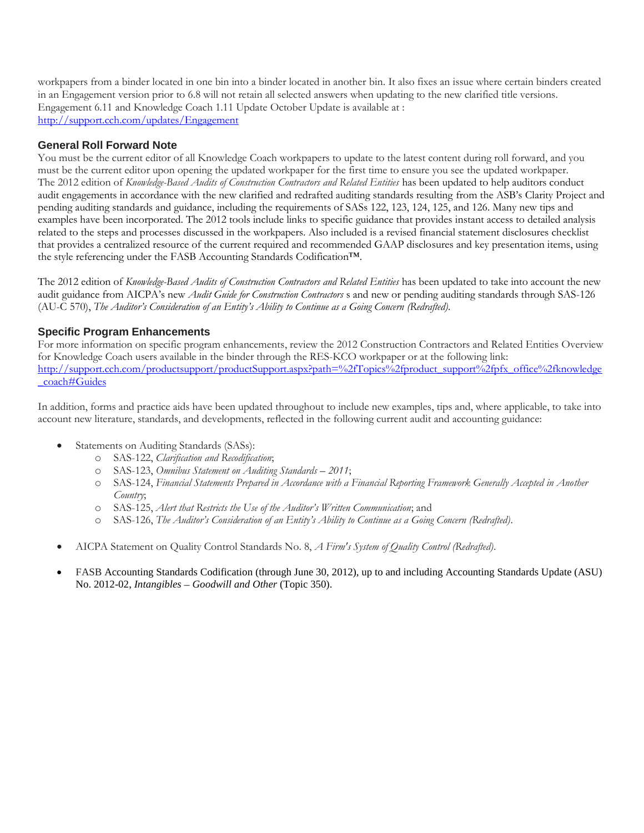workpapers from a binder located in one bin into a binder located in another bin. It also fixes an issue where certain binders created in an Engagement version prior to 6.8 will not retain all selected answers when updating to the new clarified title versions. Engagement 6.11 and Knowledge Coach 1.11 Update October Update is available at : <http://support.cch.com/updates/Engagement>

#### **General Roll Forward Note**

You must be the current editor of all Knowledge Coach workpapers to update to the latest content during roll forward, and you must be the current editor upon opening the updated workpaper for the first time to ensure you see the updated workpaper. The 2012 edition of *Knowledge-Based Audits of Construction Contractors and Related Entities* has been updated to help auditors conduct audit engagements in accordance with the new clarified and redrafted auditing standards resulting from the ASB's Clarity Project and pending auditing standards and guidance, including the requirements of SASs 122, 123, 124, 125, and 126. Many new tips and examples have been incorporated. The 2012 tools include links to specific guidance that provides instant access to detailed analysis related to the steps and processes discussed in the workpapers. Also included is a revised financial statement disclosures checklist that provides a centralized resource of the current required and recommended GAAP disclosures and key presentation items, using the style referencing under the FASB Accounting Standards Codification™.

The 2012 edition of *Knowledge-Based Audits of Construction Contractors and Related Entities* has been updated to take into account the new audit guidance from AICPA's new *Audit Guide for Construction Contractors* s and new or pending auditing standards through SAS-126 (AU-C 570), *The Auditor's Consideration of an Entity's Ability to Continue as a Going Concern (Redrafted).*

#### **Specific Program Enhancements**

For more information on specific program enhancements, review the 2012 Construction Contractors and Related Entities Overview for Knowledge Coach users available in the binder through the RES-KCO workpaper or at the following link: [http://support.cch.com/productsupport/productSupport.aspx?path=%2fTopics%2fproduct\\_support%2fpfx\\_office%2fknowledge](http://support.cch.com/productsupport/productSupport.aspx?path=%2fTopics%2fproduct_support%2fpfx_office%2fknowledge_coach%23Guides) [\\_coach#Guides](http://support.cch.com/productsupport/productSupport.aspx?path=%2fTopics%2fproduct_support%2fpfx_office%2fknowledge_coach%23Guides)

In addition, forms and practice aids have been updated throughout to include new examples, tips and, where applicable, to take into account new literature, standards, and developments, reflected in the following current audit and accounting guidance:

- Statements on Auditing Standards (SASs):
	- o SAS-122, *Clarification and Recodification*;
	- o SAS-123, *Omnibus Statement on Auditing Standards 2011*;
	- o SAS-124, *Financial Statements Prepared in Accordance with a Financial Reporting Framework Generally Accepted in Another Country*;
	- o SAS-125, *Alert that Restricts the Use of the Auditor's Written Communication*; and
	- o SAS-126, *The Auditor's Consideration of an Entity's Ability to Continue as a Going Concern (Redrafted)*.
- AICPA Statement on Quality Control Standards No. 8, *A Firm's System of Quality Control (Redrafted)*.
- FASB Accounting Standards Codification (through June 30, 2012), up to and including Accounting Standards Update (ASU) No. 2012-02, *Intangibles* – *Goodwill and Other* (Topic 350).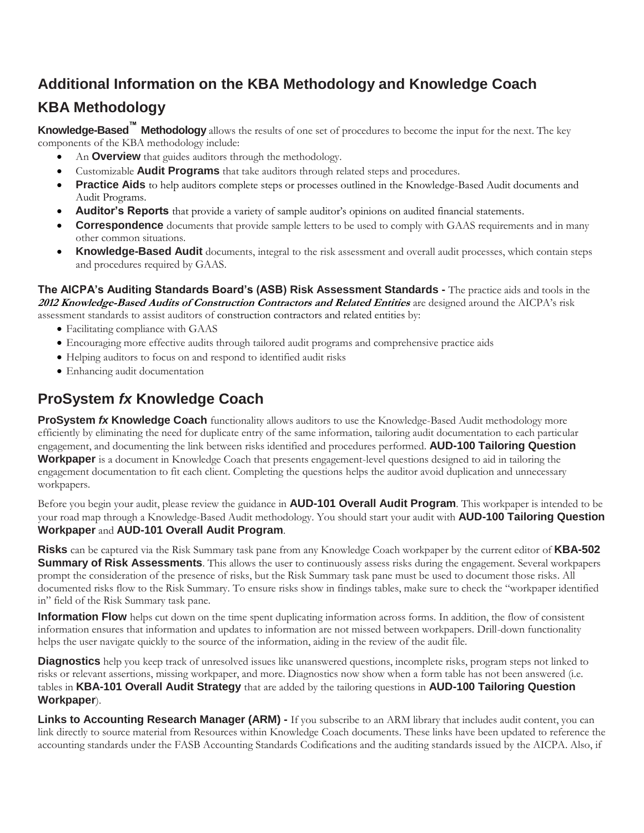# <span id="page-2-0"></span>**Additional Information on the KBA Methodology and Knowledge Coach**

## **KBA Methodology**

**Knowledge-Based™ Methodology** allows the results of one set of procedures to become the input for the next. The key components of the KBA methodology include:

- An **Overview** that guides auditors through the methodology.
- Customizable **Audit Programs** that take auditors through related steps and procedures.
- **Practice Aids** to help auditors complete steps or processes outlined in the Knowledge-Based Audit documents and Audit Programs.
- **Auditor's Reports** that provide a variety of sample auditor's opinions on audited financial statements.
- **Correspondence** documents that provide sample letters to be used to comply with GAAS requirements and in many other common situations.
- **Knowledge-Based Audit** documents, integral to the risk assessment and overall audit processes, which contain steps and procedures required by GAAS.

**The AICPA's Auditing Standards Board's (ASB) Risk Assessment Standards -** The practice aids and tools in the **2012 Knowledge-Based Audits of Construction Contractors and Related Entities** are designed around the AICPA's risk assessment standards to assist auditors of construction contractors and related entities by:

- Facilitating compliance with GAAS
- Encouraging more effective audits through tailored audit programs and comprehensive practice aids
- Helping auditors to focus on and respond to identified audit risks
- Enhancing audit documentation

## **ProSystem** *fx* **Knowledge Coach**

**ProSystem fx Knowledge Coach** functionality allows auditors to use the Knowledge-Based Audit methodology more efficiently by eliminating the need for duplicate entry of the same information, tailoring audit documentation to each particular engagement, and documenting the link between risks identified and procedures performed. **AUD-100 Tailoring Question Workpaper** is a document in Knowledge Coach that presents engagement-level questions designed to aid in tailoring the engagement documentation to fit each client. Completing the questions helps the auditor avoid duplication and unnecessary workpapers.

Before you begin your audit, please review the guidance in **AUD-101 Overall Audit Program**. This workpaper is intended to be your road map through a Knowledge-Based Audit methodology. You should start your audit with **AUD-100 Tailoring Question Workpaper** and **AUD-101 Overall Audit Program**.

**Risks** can be captured via the Risk Summary task pane from any Knowledge Coach workpaper by the current editor of **KBA-502 Summary of Risk Assessments**. This allows the user to continuously assess risks during the engagement. Several workpapers prompt the consideration of the presence of risks, but the Risk Summary task pane must be used to document those risks. All documented risks flow to the Risk Summary. To ensure risks show in findings tables, make sure to check the "workpaper identified in" field of the Risk Summary task pane.

**Information Flow** helps cut down on the time spent duplicating information across forms. In addition, the flow of consistent information ensures that information and updates to information are not missed between workpapers. Drill-down functionality helps the user navigate quickly to the source of the information, aiding in the review of the audit file.

**Diagnostics** help you keep track of unresolved issues like unanswered questions, incomplete risks, program steps not linked to risks or relevant assertions, missing workpaper, and more. Diagnostics now show when a form table has not been answered (i.e. tables in **KBA-101 Overall Audit Strategy** that are added by the tailoring questions in **AUD-100 Tailoring Question Workpaper**).

**Links to Accounting Research Manager (ARM) -** If you subscribe to an ARM library that includes audit content, you can link directly to source material from Resources within Knowledge Coach documents. These links have been updated to reference the accounting standards under the FASB Accounting Standards Codifications and the auditing standards issued by the AICPA. Also, if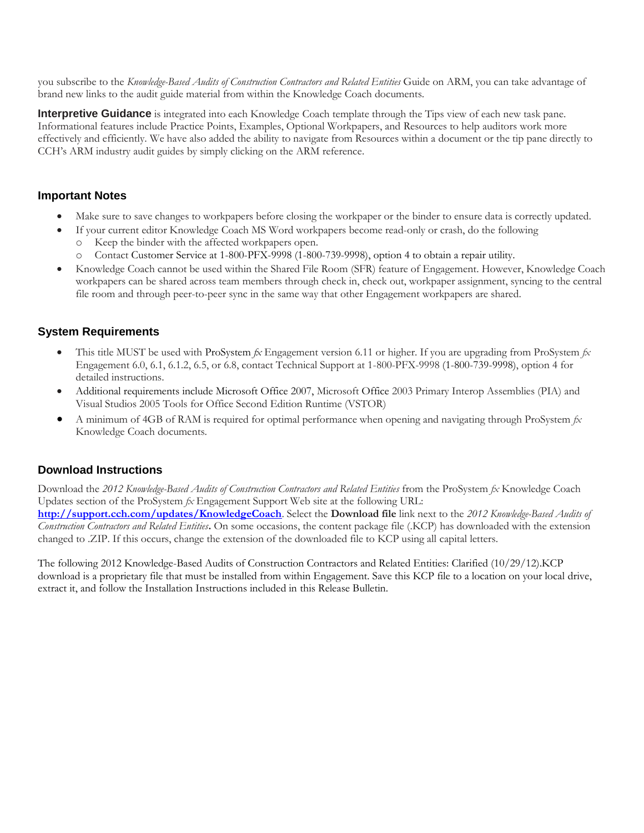you subscribe to the *Knowledge-Based Audits of Construction Contractors and Related Entities* Guide on ARM, you can take advantage of brand new links to the audit guide material from within the Knowledge Coach documents.

**Interpretive Guidance** is integrated into each Knowledge Coach template through the Tips view of each new task pane. Informational features include Practice Points, Examples, Optional Workpapers, and Resources to help auditors work more effectively and efficiently. We have also added the ability to navigate from Resources within a document or the tip pane directly to CCH's ARM industry audit guides by simply clicking on the ARM reference.

#### **Important Notes**

- Make sure to save changes to workpapers before closing the workpaper or the binder to ensure data is correctly updated.
- If your current editor Knowledge Coach MS Word workpapers become read-only or crash, do the following
	- o Keep the binder with the affected workpapers open.
	- o Contact Customer Service at 1-800-PFX-9998 (1-800-739-9998), option 4 to obtain a repair utility.
- Knowledge Coach cannot be used within the Shared File Room (SFR) feature of Engagement. However, Knowledge Coach workpapers can be shared across team members through check in, check out, workpaper assignment, syncing to the central file room and through peer-to-peer sync in the same way that other Engagement workpapers are shared.

#### **System Requirements**

- This title MUST be used with ProSystem *fx* Engagement version 6.11 or higher. If you are upgrading from ProSystem *fx*  Engagement 6.0, 6.1, 6.1.2, 6.5, or 6.8, contact Technical Support at 1-800-PFX-9998 (1-800-739-9998), option 4 for detailed instructions.
- Additional requirements include Microsoft Office 2007, Microsoft Office 2003 Primary Interop Assemblies (PIA) and Visual Studios 2005 Tools for Office Second Edition Runtime (VSTOR)
- A minimum of 4GB of RAM is required for optimal performance when opening and navigating through ProSystem *fx*  Knowledge Coach documents.

#### **Download Instructions**

Download the *2012 Knowledge-Based Audits of Construction Contractors and Related Entities* from the ProSystem *fx* Knowledge Coach Updates section of the ProSystem *fx* Engagement Support Web site at the following URL: **<http://support.cch.com/updates/KnowledgeCoach>**. Select the **Download file** link next to the *2012 Knowledge-Based Audits of Construction Contractors and Related Entities***.** On some occasions, the content package file (.KCP) has downloaded with the extension changed to .ZIP. If this occurs, change the extension of the downloaded file to KCP using all capital letters.

The following 2012 Knowledge-Based Audits of Construction Contractors and Related Entities: Clarified (10/29/12).KCP download is a proprietary file that must be installed from within Engagement. Save this KCP file to a location on your local drive, extract it, and follow the Installation Instructions included in this Release Bulletin.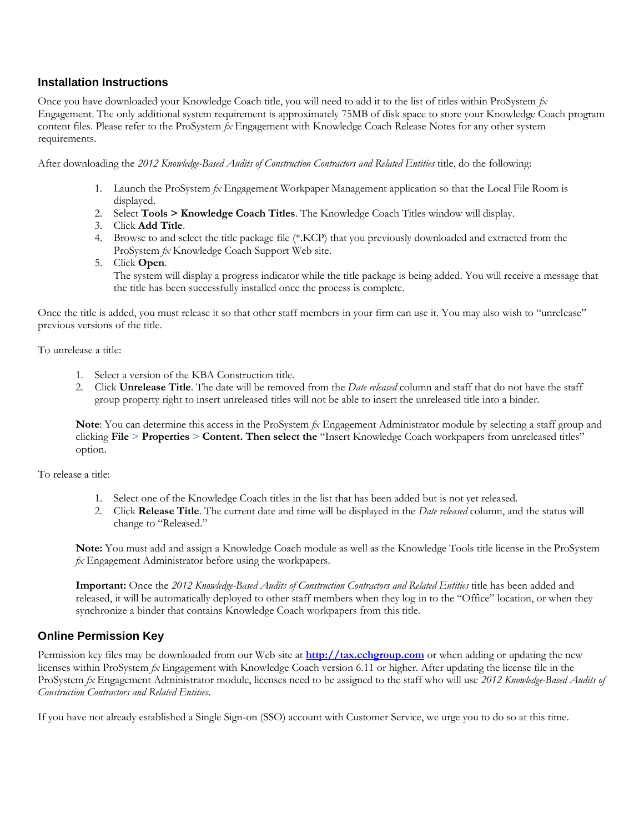#### **Installation Instructions**

Once you have downloaded your Knowledge Coach title, you will need to add it to the list of titles within ProSystem *fx*  Engagement. The only additional system requirement is approximately 75MB of disk space to store your Knowledge Coach program content files. Please refer to the ProSystem *fx* Engagement with Knowledge Coach Release Notes for any other system requirements.

After downloading the *2012 Knowledge-Based Audits of Construction Contractors and Related Entities* title, do the following:

- 1. Launch the ProSystem *fx* Engagement Workpaper Management application so that the Local File Room is displayed.
- 2. Select **Tools > Knowledge Coach Titles**. The Knowledge Coach Titles window will display.
- 3. Click **Add Title**.
- 4. Browse to and select the title package file (\*.KCP) that you previously downloaded and extracted from the ProSystem *fx* Knowledge Coach Support Web site.
- 5. Click **Open**.

The system will display a progress indicator while the title package is being added. You will receive a message that the title has been successfully installed once the process is complete.

Once the title is added, you must release it so that other staff members in your firm can use it. You may also wish to "unrelease" previous versions of the title.

To unrelease a title:

- 1. Select a version of the KBA Construction title.
- 2. Click **Unrelease Title**. The date will be removed from the *Date released* column and staff that do not have the staff group property right to insert unreleased titles will not be able to insert the unreleased title into a binder.

**Note**: You can determine this access in the ProSystem *fx* Engagement Administrator module by selecting a staff group and clicking **File** > **Properties** > **Content. Then select the** "Insert Knowledge Coach workpapers from unreleased titles" option.

To release a title:

- 1. Select one of the Knowledge Coach titles in the list that has been added but is not yet released.
- 2. Click **Release Title**. The current date and time will be displayed in the *Date released* column, and the status will change to "Released."

**Note:** You must add and assign a Knowledge Coach module as well as the Knowledge Tools title license in the ProSystem *fx* Engagement Administrator before using the workpapers.

**Important:** Once the *2012 Knowledge-Based Audits of Construction Contractors and Related Entities* title has been added and released, it will be automatically deployed to other staff members when they log in to the "Office" location, or when they synchronize a binder that contains Knowledge Coach workpapers from this title.

#### **Online Permission Key**

Permission key files may be downloaded from our Web site at **[http://tax.cchgroup.com](http://tax.cchgroup.com/)** or when adding or updating the new licenses within ProSystem *fx* Engagement with Knowledge Coach version 6.11 or higher. After updating the license file in the ProSystem *fx* Engagement Administrator module, licenses need to be assigned to the staff who will use *2012 Knowledge-Based Audits of Construction Contractors and Related Entities*.

If you have not already established a Single Sign-on (SSO) account with Customer Service, we urge you to do so at this time.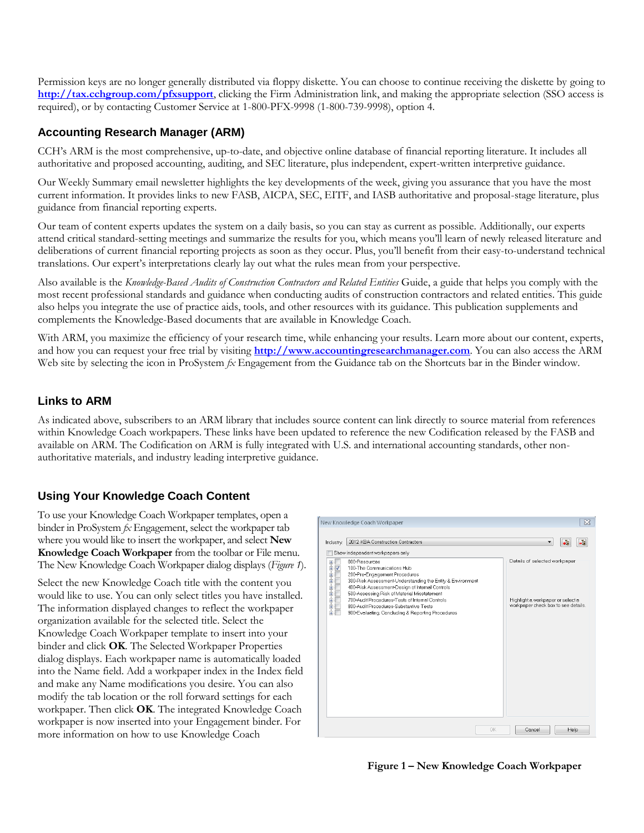Permission keys are no longer generally distributed via floppy diskette. You can choose to continue receiving the diskette by going to **<http://tax.cchgroup.com/pfxsupport>**, clicking the Firm Administration link, and making the appropriate selection (SSO access is required), or by contacting Customer Service at 1-800-PFX-9998 (1-800-739-9998), option 4.

#### **Accounting Research Manager (ARM)**

CCH's ARM is the most comprehensive, up-to-date, and objective online database of financial reporting literature. It includes all authoritative and proposed accounting, auditing, and SEC literature, plus independent, expert-written interpretive guidance.

Our Weekly Summary email newsletter highlights the key developments of the week, giving you assurance that you have the most current information. It provides links to new FASB, AICPA, SEC, EITF, and IASB authoritative and proposal-stage literature, plus guidance from financial reporting experts.

Our team of content experts updates the system on a daily basis, so you can stay as current as possible. Additionally, our experts attend critical standard-setting meetings and summarize the results for you, which means you'll learn of newly released literature and deliberations of current financial reporting projects as soon as they occur. Plus, you'll benefit from their easy-to-understand technical translations. Our expert's interpretations clearly lay out what the rules mean from your perspective.

Also available is the *Knowledge-Based Audits of Construction Contractors and Related Entities* Guide, a guide that helps you comply with the most recent professional standards and guidance when conducting audits of construction contractors and related entities. This guide also helps you integrate the use of practice aids, tools, and other resources with its guidance. This publication supplements and complements the Knowledge-Based documents that are available in Knowledge Coach.

With ARM, you maximize the efficiency of your research time, while enhancing your results. Learn more about our content, experts, and how you can request your free trial by visiting **[http://www.accountingresearchmanager.com](http://www.accountingresearchmanager.com/)**. You can also access the ARM Web site by selecting the icon in ProSystem  $\beta x$  Engagement from the Guidance tab on the Shortcuts bar in the Binder window.

#### **Links to ARM**

As indicated above, subscribers to an ARM library that includes source content can link directly to source material from references within Knowledge Coach workpapers. These links have been updated to reference the new Codification released by the FASB and available on ARM. The Codification on ARM is fully integrated with U.S. and international accounting standards, other nonauthoritative materials, and industry leading interpretive guidance.

#### **Using Your Knowledge Coach Content**

To use your Knowledge Coach Workpaper templates, open a binder in ProSystem *fx* Engagement, select the workpaper tab where you would like to insert the workpaper, and select **New Knowledge Coach Workpaper** from the toolbar or File menu. The New Knowledge Coach Workpaper dialog displays (*Figure 1*).

Select the new Knowledge Coach title with the content you would like to use. You can only select titles you have installed. The information displayed changes to reflect the workpaper organization available for the selected title. Select the Knowledge Coach Workpaper template to insert into your binder and click **OK**. The Selected Workpaper Properties dialog displays. Each workpaper name is automatically loaded into the Name field. Add a workpaper index in the Index field and make any Name modifications you desire. You can also modify the tab location or the roll forward settings for each workpaper. Then click **OK**. The integrated Knowledge Coach workpaper is now inserted into your Engagement binder. For more information on how to use Knowledge Coach



**Figure 1 – New Knowledge Coach Workpaper**